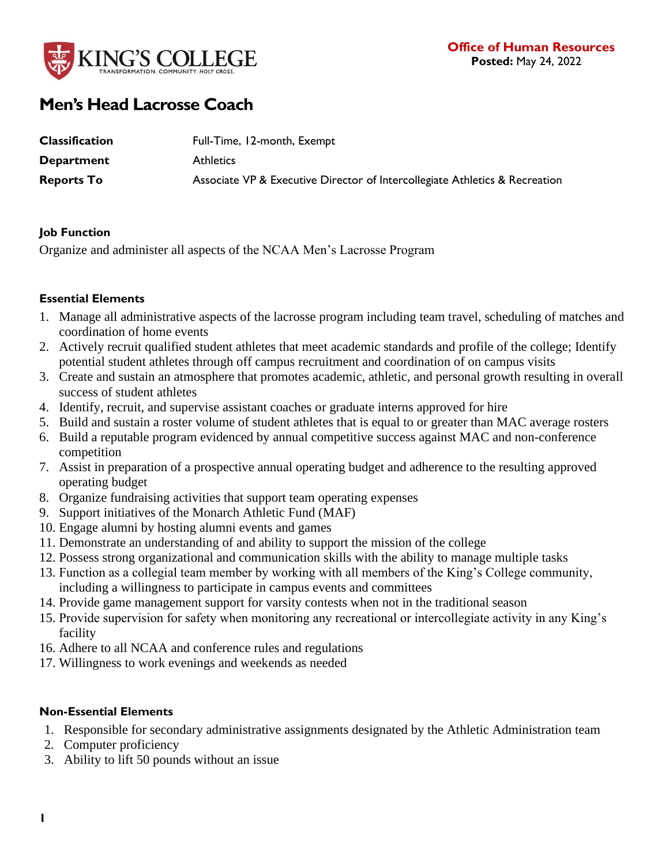

# **Men's Head Lacrosse Coach**

| <b>Classification</b> | Full-Time, 12-month, Exempt                                                 |
|-----------------------|-----------------------------------------------------------------------------|
| <b>Department</b>     | <b>Athletics</b>                                                            |
| <b>Reports To</b>     | Associate VP & Executive Director of Intercollegiate Athletics & Recreation |

### **Job Function**

Organize and administer all aspects of the NCAA Men's Lacrosse Program

## **Essential Elements**

- 1. Manage all administrative aspects of the lacrosse program including team travel, scheduling of matches and coordination of home events
- 2. Actively recruit qualified student athletes that meet academic standards and profile of the college; Identify potential student athletes through off campus recruitment and coordination of on campus visits
- 3. Create and sustain an atmosphere that promotes academic, athletic, and personal growth resulting in overall success of student athletes
- 4. Identify, recruit, and supervise assistant coaches or graduate interns approved for hire
- 5. Build and sustain a roster volume of student athletes that is equal to or greater than MAC average rosters
- 6. Build a reputable program evidenced by annual competitive success against MAC and non-conference competition
- 7. Assist in preparation of a prospective annual operating budget and adherence to the resulting approved operating budget
- 8. Organize fundraising activities that support team operating expenses
- 9. Support initiatives of the Monarch Athletic Fund (MAF)
- 10. Engage alumni by hosting alumni events and games
- 11. Demonstrate an understanding of and ability to support the mission of the college
- 12. Possess strong organizational and communication skills with the ability to manage multiple tasks
- 13. Function as a collegial team member by working with all members of the King's College community,
- including a willingness to participate in campus events and committees
- 14. Provide game management support for varsity contests when not in the traditional season
- 15. Provide supervision for safety when monitoring any recreational or intercollegiate activity in any King's facility
- 16. Adhere to all NCAA and conference rules and regulations
- 17. Willingness to work evenings and weekends as needed

# **Non-Essential Elements**

- 1. Responsible for secondary administrative assignments designated by the Athletic Administration team
- 2. Computer proficiency
- 3. Ability to lift 50 pounds without an issue